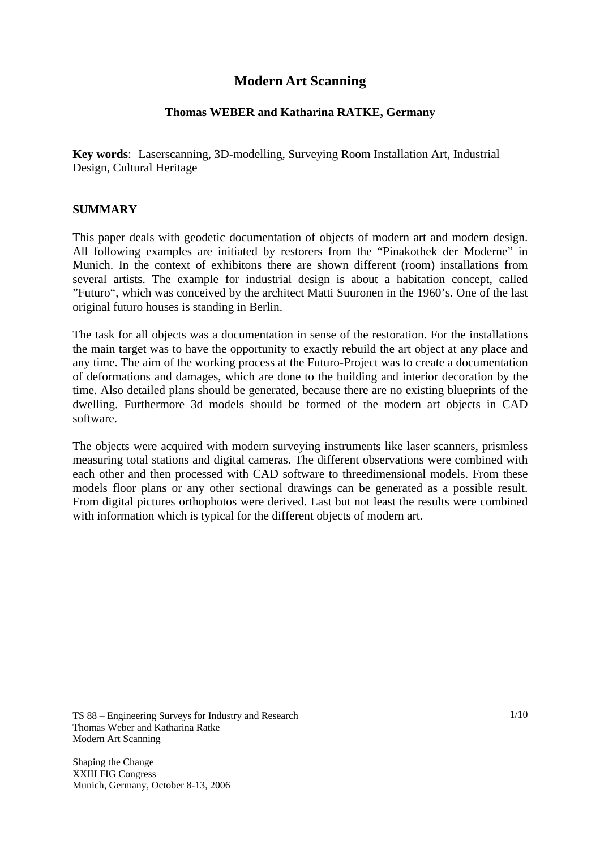## **Modern Art Scanning**

#### **Thomas WEBER and Katharina RATKE, Germany**

**Key words**: Laserscanning, 3D-modelling, Surveying Room Installation Art, Industrial Design, Cultural Heritage

#### **SUMMARY**

This paper deals with geodetic documentation of objects of modern art and modern design. All following examples are initiated by restorers from the "Pinakothek der Moderne" in Munich. In the context of exhibitons there are shown different (room) installations from several artists. The example for industrial design is about a habitation concept, called "Futuro", which was conceived by the architect Matti Suuronen in the 1960's. One of the last original futuro houses is standing in Berlin.

The task for all objects was a documentation in sense of the restoration. For the installations the main target was to have the opportunity to exactly rebuild the art object at any place and any time. The aim of the working process at the Futuro-Project was to create a documentation of deformations and damages, which are done to the building and interior decoration by the time. Also detailed plans should be generated, because there are no existing blueprints of the dwelling. Furthermore 3d models should be formed of the modern art objects in CAD software.

The objects were acquired with modern surveying instruments like laser scanners, prismless measuring total stations and digital cameras. The different observations were combined with each other and then processed with CAD software to threedimensional models. From these models floor plans or any other sectional drawings can be generated as a possible result. From digital pictures orthophotos were derived. Last but not least the results were combined with information which is typical for the different objects of modern art.

TS 88 – Engineering Surveys for Industry and Research Thomas Weber and Katharina Ratke Modern Art Scanning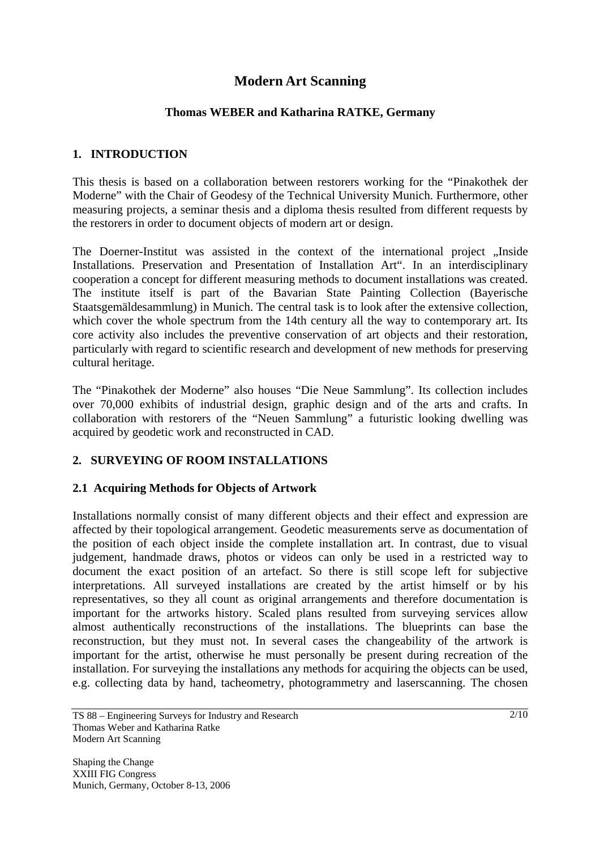# **Modern Art Scanning**

### **Thomas WEBER and Katharina RATKE, Germany**

## **1. INTRODUCTION**

This thesis is based on a collaboration between restorers working for the "Pinakothek der Moderne" with the Chair of Geodesy of the Technical University Munich. Furthermore, other measuring projects, a seminar thesis and a diploma thesis resulted from different requests by the restorers in order to document objects of modern art or design.

The Doerner-Institut was assisted in the context of the international project ...Inside Installations. Preservation and Presentation of Installation Art". In an interdisciplinary cooperation a concept for different measuring methods to document installations was created. The institute itself is part of the Bavarian State Painting Collection (Bayerische Staatsgemäldesammlung) in Munich. The central task is to look after the extensive collection, which cover the whole spectrum from the 14th century all the way to contemporary art. Its core activity also includes the preventive conservation of art objects and their restoration, particularly with regard to scientific research and development of new methods for preserving cultural heritage.

The "Pinakothek der Moderne" also houses "Die Neue Sammlung". Its collection includes over 70,000 exhibits of industrial design, graphic design and of the arts and crafts. In collaboration with restorers of the "Neuen Sammlung" a futuristic looking dwelling was acquired by geodetic work and reconstructed in CAD.

## **2. SURVEYING OF ROOM INSTALLATIONS**

#### **2.1 Acquiring Methods for Objects of Artwork**

Installations normally consist of many different objects and their effect and expression are affected by their topological arrangement. Geodetic measurements serve as documentation of the position of each object inside the complete installation art. In contrast, due to visual judgement, handmade draws, photos or videos can only be used in a restricted way to document the exact position of an artefact. So there is still scope left for subjective interpretations. All surveyed installations are created by the artist himself or by his representatives, so they all count as original arrangements and therefore documentation is important for the artworks history. Scaled plans resulted from surveying services allow almost authentically reconstructions of the installations. The blueprints can base the reconstruction, but they must not. In several cases the changeability of the artwork is important for the artist, otherwise he must personally be present during recreation of the installation. For surveying the installations any methods for acquiring the objects can be used, e.g. collecting data by hand, tacheometry, photogrammetry and laserscanning. The chosen

TS 88 – Engineering Surveys for Industry and Research Thomas Weber and Katharina Ratke Modern Art Scanning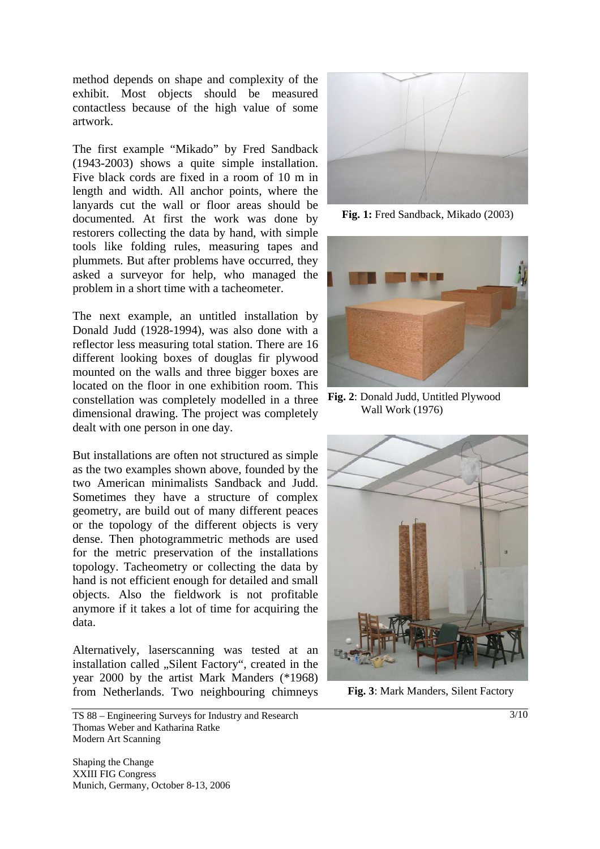method depends on shape and complexity of the exhibit. Most objects should be measured contactless because of the high value of some artwork.

The first example "Mikado" by Fred Sandback (1943-2003) shows a quite simple installation. Five black cords are fixed in a room of 10 m in length and width. All anchor points, where the lanyards cut the wall or floor areas should be documented. At first the work was done by restorers collecting the data by hand, with simple tools like folding rules, measuring tapes and plummets. But after problems have occurred, they asked a surveyor for help, who managed the problem in a short time with a tacheometer.

The next example, an untitled installation by Donald Judd (1928-1994), was also done with a reflector less measuring total station. There are 16 different looking boxes of douglas fir plywood mounted on the walls and three bigger boxes are located on the floor in one exhibition room. This constellation was completely modelled in a three dimensional drawing. The project was completely dealt with one person in one day.

But installations are often not structured as simple as the two examples shown above, founded by the two American minimalists Sandback and Judd. Sometimes they have a structure of complex geometry, are build out of many different peaces or the topology of the different objects is very dense. Then photogrammetric methods are used for the metric preservation of the installations topology. Tacheometry or collecting the data by hand is not efficient enough for detailed and small objects. Also the fieldwork is not profitable anymore if it takes a lot of time for acquiring the data.

Alternatively, laserscanning was tested at an installation called "Silent Factory", created in the year 2000 by the artist Mark Manders (\*1968) from Netherlands. Two neighbouring chimneys



**Fig. 1:** Fred Sandback, Mikado (2003)



**Fig. 2**: Donald Judd, Untitled Plywood Wall Work (1976)



**Fig. 3**: Mark Manders, Silent Factory

TS 88 – Engineering Surveys for Industry and Research Thomas Weber and Katharina Ratke Modern Art Scanning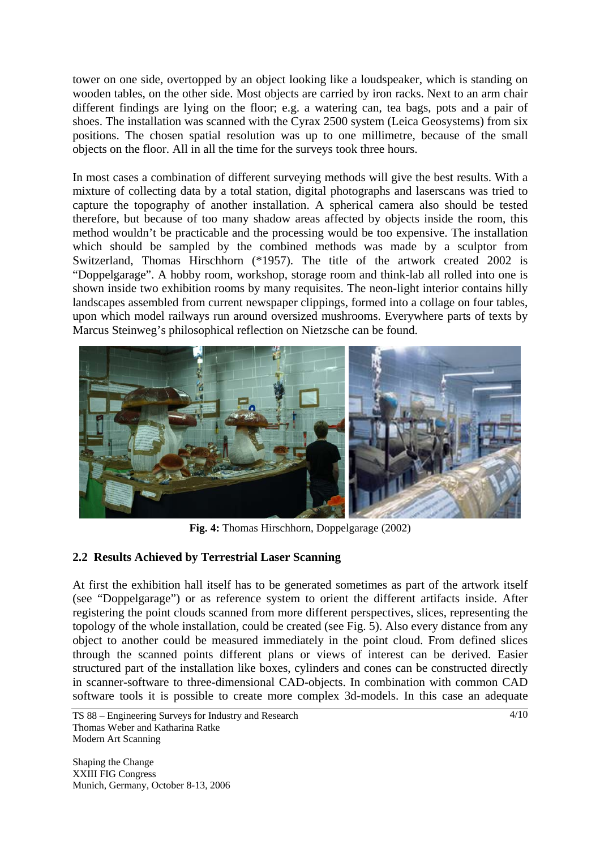tower on one side, overtopped by an object looking like a loudspeaker, which is standing on wooden tables, on the other side. Most objects are carried by iron racks. Next to an arm chair different findings are lying on the floor; e.g. a watering can, tea bags, pots and a pair of shoes. The installation was scanned with the Cyrax 2500 system (Leica Geosystems) from six positions. The chosen spatial resolution was up to one millimetre, because of the small objects on the floor. All in all the time for the surveys took three hours.

In most cases a combination of different surveying methods will give the best results. With a mixture of collecting data by a total station, digital photographs and laserscans was tried to capture the topography of another installation. A spherical camera also should be tested therefore, but because of too many shadow areas affected by objects inside the room, this method wouldn't be practicable and the processing would be too expensive. The installation which should be sampled by the combined methods was made by a sculptor from Switzerland, Thomas Hirschhorn (\*1957). The title of the artwork created 2002 is "Doppelgarage". A hobby room, workshop, storage room and think-lab all rolled into one is shown inside two exhibition rooms by many requisites. The neon-light interior contains hilly landscapes assembled from current newspaper clippings, formed into a collage on four tables, upon which model railways run around oversized mushrooms. Everywhere parts of texts by Marcus Steinweg's philosophical reflection on Nietzsche can be found.



**Fig. 4:** Thomas Hirschhorn, Doppelgarage (2002)

## **2.2 Results Achieved by Terrestrial Laser Scanning**

At first the exhibition hall itself has to be generated sometimes as part of the artwork itself (see "Doppelgarage") or as reference system to orient the different artifacts inside. After registering the point clouds scanned from more different perspectives, slices, representing the topology of the whole installation, could be created (see Fig. 5). Also every distance from any object to another could be measured immediately in the point cloud. From defined slices through the scanned points different plans or views of interest can be derived. Easier structured part of the installation like boxes, cylinders and cones can be constructed directly in scanner-software to three-dimensional CAD-objects. In combination with common CAD software tools it is possible to create more complex 3d-models. In this case an adequate

TS 88 – Engineering Surveys for Industry and Research Thomas Weber and Katharina Ratke Modern Art Scanning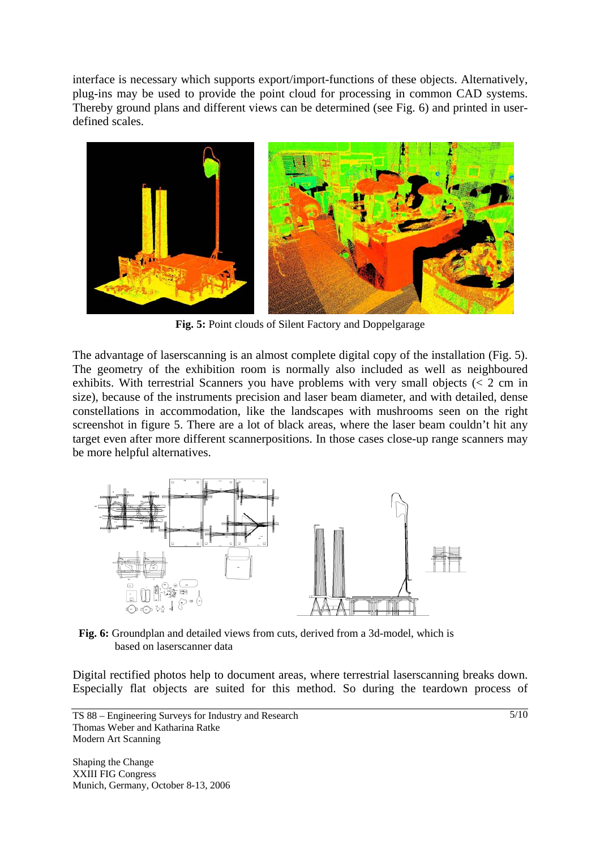interface is necessary which supports export/import-functions of these objects. Alternatively, plug-ins may be used to provide the point cloud for processing in common CAD systems. Thereby ground plans and different views can be determined (see Fig. 6) and printed in userdefined scales.



**Fig. 5:** Point clouds of Silent Factory and Doppelgarage

The advantage of laserscanning is an almost complete digital copy of the installation (Fig. 5). The geometry of the exhibition room is normally also included as well as neighboured exhibits. With terrestrial Scanners you have problems with very small objects  $\langle \langle 2 \rangle$  cm in size), because of the instruments precision and laser beam diameter, and with detailed, dense constellations in accommodation, like the landscapes with mushrooms seen on the right screenshot in figure 5. There are a lot of black areas, where the laser beam couldn't hit any target even after more different scannerpositions. In those cases close-up range scanners may be more helpful alternatives.



**Fig. 6:** Groundplan and detailed views from cuts, derived from a 3d-model, which is based on laserscanner data

Digital rectified photos help to document areas, where terrestrial laserscanning breaks down. Especially flat objects are suited for this method. So during the teardown process of

TS 88 – Engineering Surveys for Industry and Research Thomas Weber and Katharina Ratke Modern Art Scanning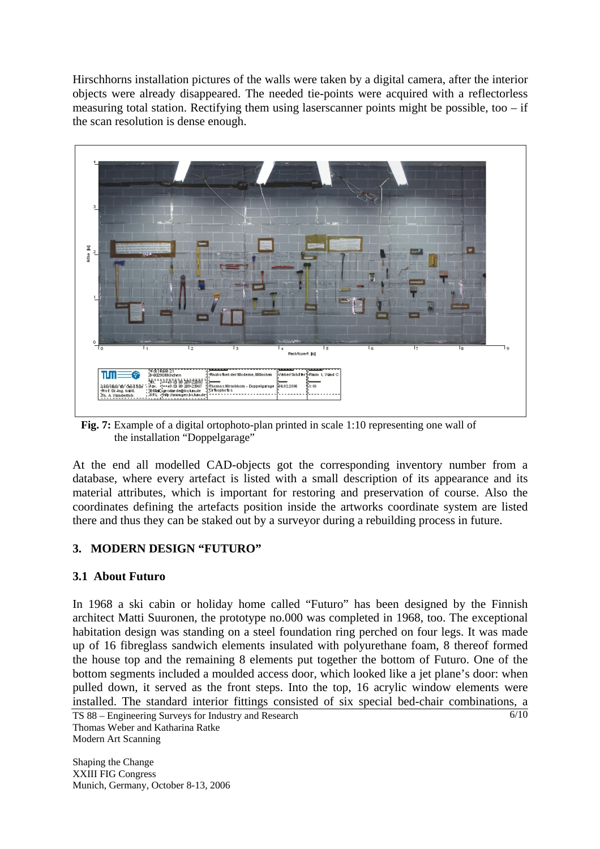Hirschhorns installation pictures of the walls were taken by a digital camera, after the interior objects were already disappeared. The needed tie-points were acquired with a reflectorless measuring total station. Rectifying them using laserscanner points might be possible, too  $-$  if the scan resolution is dense enough.



 **Fig. 7:** Example of a digital ortophoto-plan printed in scale 1:10 representing one wall of the installation "Doppelgarage"

At the end all modelled CAD-objects got the corresponding inventory number from a database, where every artefact is listed with a small description of its appearance and its material attributes, which is important for restoring and preservation of course. Also the coordinates defining the artefacts position inside the artworks coordinate system are listed there and thus they can be staked out by a surveyor during a rebuilding process in future.

## **3. MODERN DESIGN "FUTURO"**

## **3.1 About Futuro**

In 1968 a ski cabin or holiday home called "Futuro" has been designed by the Finnish architect Matti Suuronen, the prototype no.000 was completed in 1968, too. The exceptional habitation design was standing on a steel foundation ring perched on four legs. It was made up of 16 fibreglass sandwich elements insulated with polyurethane foam, 8 thereof formed the house top and the remaining 8 elements put together the bottom of Futuro. One of the bottom segments included a moulded access door, which looked like a jet plane's door: when pulled down, it served as the front steps. Into the top, 16 acrylic window elements were installed. The standard interior fittings consisted of six special bed-chair combinations, a

TS 88 – Engineering Surveys for Industry and Research Thomas Weber and Katharina Ratke Modern Art Scanning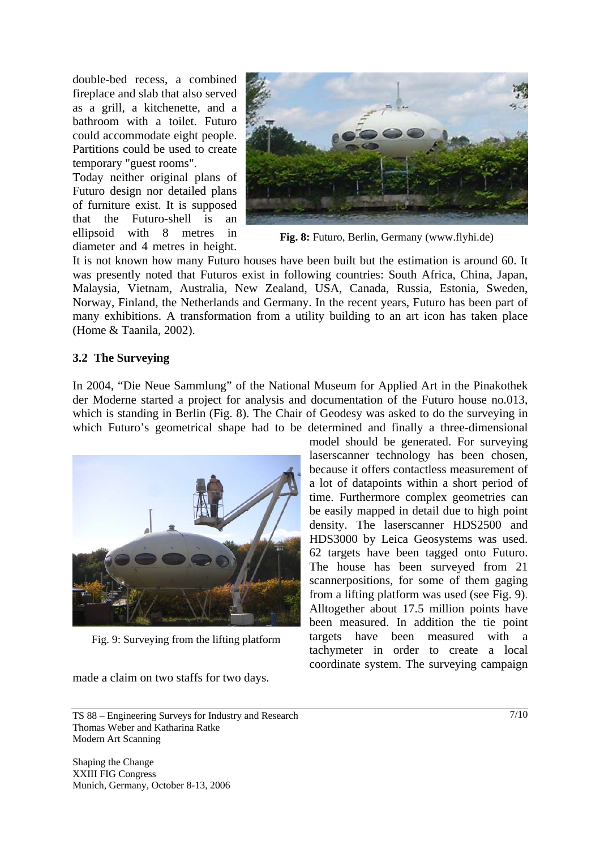double-bed recess, a combined fireplace and slab that also served as a grill, a kitchenette, and a bathroom with a toilet. Futuro could accommodate eight people. Partitions could be used to create temporary "guest rooms".

Today neither original plans of Futuro design nor detailed plans of furniture exist. It is supposed that the Futuro-shell is an ellipsoid with 8 metres in diameter and 4 metres in height.



**Fig. 8:** Futuro, Berlin, Germany (www.flyhi.de)

It is not known how many Futuro houses have been built but the estimation is around 60. It was presently noted that Futuros exist in following countries: South Africa, China, Japan, Malaysia, Vietnam, Australia, New Zealand, USA, Canada, Russia, Estonia, Sweden, Norway, Finland, the Netherlands and Germany. In the recent years, Futuro has been part of many exhibitions. A transformation from a utility building to an art icon has taken place (Home & Taanila, 2002).

#### **3.2 The Surveying**

In 2004, "Die Neue Sammlung" of the National Museum for Applied Art in the Pinakothek der Moderne started a project for analysis and documentation of the Futuro house no.013, which is standing in Berlin (Fig. 8). The Chair of Geodesy was asked to do the surveying in which Futuro's geometrical shape had to be determined and finally a three-dimensional



Fig. 9: Surveying from the lifting platform

made a claim on two staffs for two days.

model should be generated. For surveying laserscanner technology has been chosen, because it offers contactless measurement of a lot of datapoints within a short period of time. Furthermore complex geometries can be easily mapped in detail due to high point density. The laserscanner HDS2500 and HDS3000 by Leica Geosystems was used. 62 targets have been tagged onto Futuro. The house has been surveyed from 21 scannerpositions, for some of them gaging from a lifting platform was used (see Fig. 9). Alltogether about 17.5 million points have been measured. In addition the tie point targets have been measured with a tachymeter in order to create a local coordinate system. The surveying campaign

TS 88 – Engineering Surveys for Industry and Research Thomas Weber and Katharina Ratke Modern Art Scanning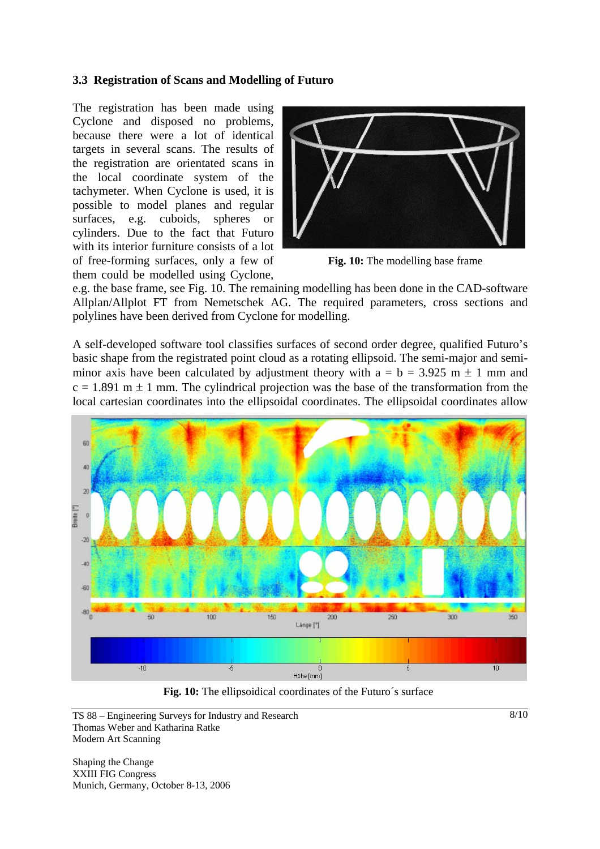### **3.3 Registration of Scans and Modelling of Futuro**

The registration has been made using Cyclone and disposed no problems, because there were a lot of identical targets in several scans. The results of the registration are orientated scans in the local coordinate system of the tachymeter. When Cyclone is used, it is possible to model planes and regular surfaces, e.g. cuboids, spheres or cylinders. Due to the fact that Futuro with its interior furniture consists of a lot of free-forming surfaces, only a few of them could be modelled using Cyclone,



**Fig. 10:** The modelling base frame

e.g. the base frame, see Fig. 10. The remaining modelling has been done in the CAD-software Allplan/Allplot FT from Nemetschek AG. The required parameters, cross sections and polylines have been derived from Cyclone for modelling.

A self-developed software tool classifies surfaces of second order degree, qualified Futuro's basic shape from the registrated point cloud as a rotating ellipsoid. The semi-major and semiminor axis have been calculated by adjustment theory with  $a = b = 3.925$  m  $\pm 1$  mm and  $c = 1.891$  m  $\pm$  1 mm. The cylindrical projection was the base of the transformation from the local cartesian coordinates into the ellipsoidal coordinates. The ellipsoidal coordinates allow



**Fig. 10:** The ellipsoidical coordinates of the Futuro´s surface

Shaping the Change XXIII FIG Congress Munich, Germany, October 8-13, 2006  $8/10$ 

TS 88 – Engineering Surveys for Industry and Research Thomas Weber and Katharina Ratke Modern Art Scanning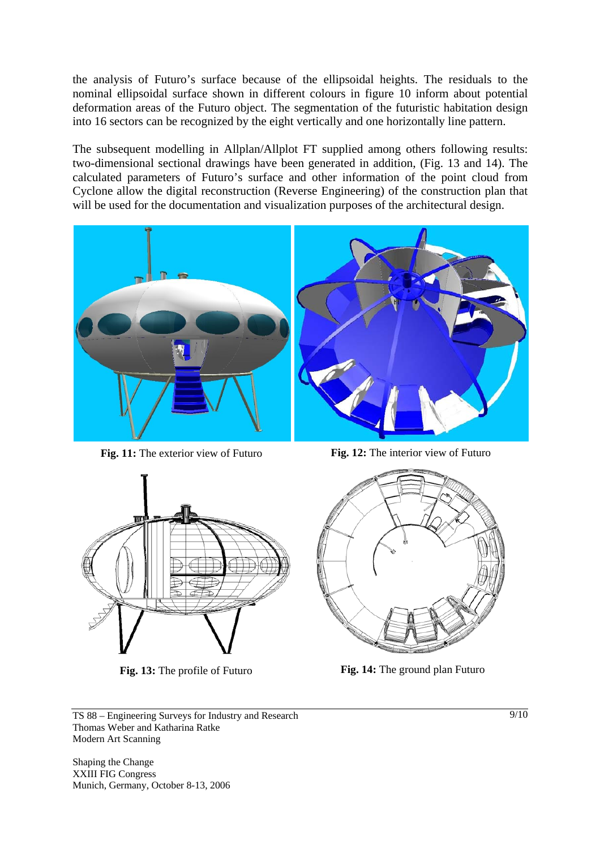the analysis of Futuro's surface because of the ellipsoidal heights. The residuals to the nominal ellipsoidal surface shown in different colours in figure 10 inform about potential deformation areas of the Futuro object. The segmentation of the futuristic habitation design into 16 sectors can be recognized by the eight vertically and one horizontally line pattern.

The subsequent modelling in Allplan/Allplot FT supplied among others following results: two-dimensional sectional drawings have been generated in addition, (Fig. 13 and 14). The calculated parameters of Futuro's surface and other information of the point cloud from Cyclone allow the digital reconstruction (Reverse Engineering) of the construction plan that will be used for the documentation and visualization purposes of the architectural design.



**Fig. 11:** The exterior view of Futuro **Fig. 12:** The interior view of Futuro





**Fig. 13:** The profile of Futuro **Fig. 14:** The ground plan Futuro

TS 88 – Engineering Surveys for Industry and Research Thomas Weber and Katharina Ratke Modern Art Scanning